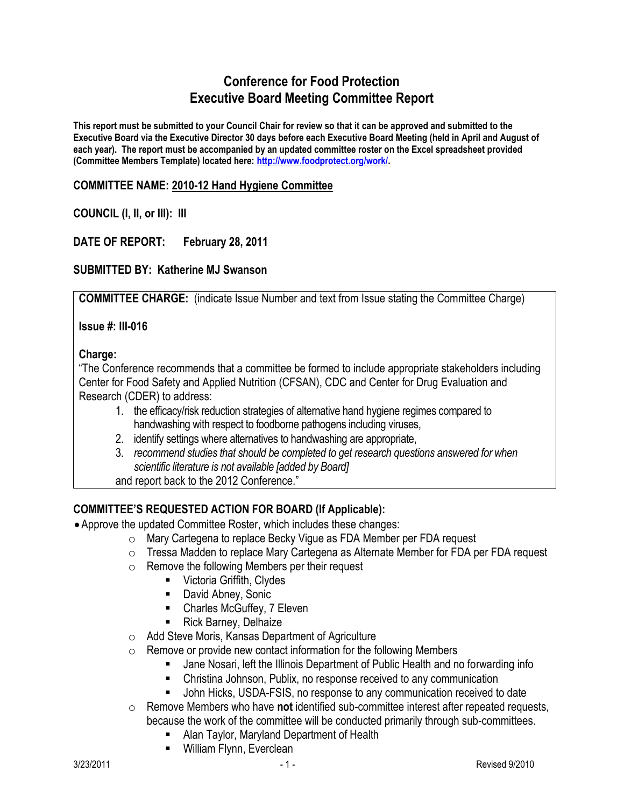# **Conference for Food Protection Executive Board Meeting Committee Report**

**This report must be submitted to your Council Chair for review so that it can be approved and submitted to the Executive Board via the Executive Director 30 days before each Executive Board Meeting (held in April and August of each year). The report must be accompanied by an updated committee roster on the Excel spreadsheet provided (Committee Members Template) located here: [http://www.foodprotect.org/work/.](http://www.foodprotect.org/work/)**

#### **COMMITTEE NAME: 2010-12 Hand Hygiene Committee**

#### **COUNCIL (I, II, or III): III**

## **DATE OF REPORT: February 28, 2011**

## **SUBMITTED BY: Katherine MJ Swanson**

**COMMITTEE CHARGE:** (indicate Issue Number and text from Issue stating the Committee Charge)

**Issue #: III-016**

#### Charge:

"The Conference recommends that a committee be formed to include appropriate stakeholders including Center for Food Safety and Applied Nutrition (CFSAN), CDC and Center for Drug Evaluation and Research (CDER) to address:

- 1. the efficacy/risk reduction strategies of alternative hand hygiene regimes compared to handwashing with respect to foodborne pathogens including viruses,
- 2. identify settings where alternatives to handwashing are appropriate,
- 3. *recommend studies that should be completed to get research questions answered for when scientific literature is not available [added by Board]*
- and report back to the 2012 Conference."

## **COMMITTEE'S REQUESTED ACTION FOR BOARD (If Applicable):**

- Approve the updated Committee Roster, which includes these changes:
	- o Mary Cartegena to replace Becky Vigue as FDA Member per FDA request
	- $\circ$  Tressa Madden to replace Mary Cartegena as Alternate Member for FDA per FDA request
	- o Remove the following Members per their request
		- **URICAL Griffith, Clydes**
		- **David Abney, Sonic**
		- Charles McGuffey, 7 Eleven
		- Rick Barney, Delhaize
	- o Add Steve Moris, Kansas Department of Agriculture
	- $\circ$  Remove or provide new contact information for the following Members
		- Jane Nosari, left the Illinois Department of Public Health and no forwarding info
		- Christina Johnson, Publix, no response received to any communication
		- John Hicks, USDA-FSIS, no response to any communication received to date
	- o Remove Members who have **not** identified sub-committee interest after repeated requests, because the work of the committee will be conducted primarily through sub-committees.
		- **Alan Taylor, Maryland Department of Health**
		- **William Flynn, Everclean**